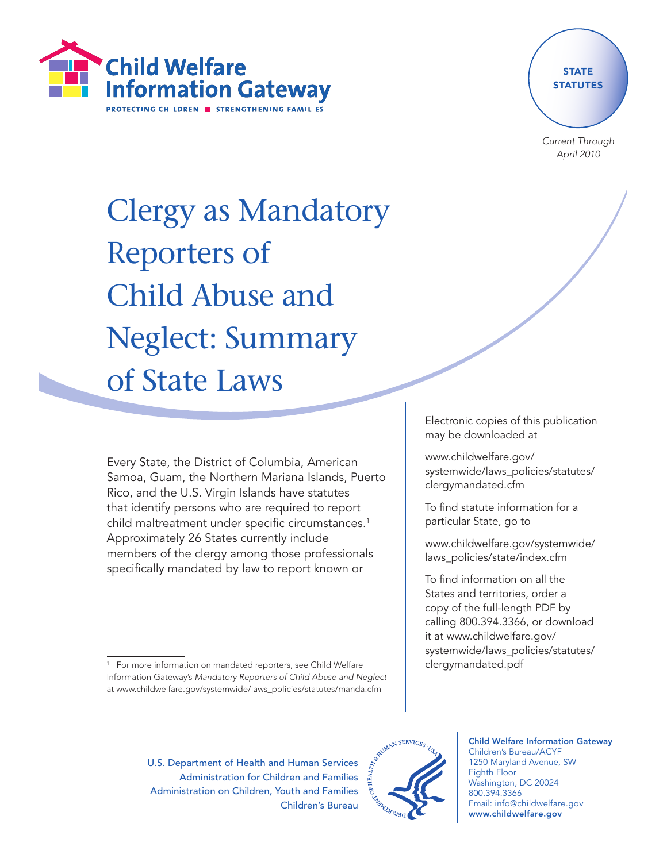



Current Through April 2010

# Clergy as Mandatory Reporters of Child Abuse and Neglect: Summary of State Laws

Every State, the District of Columbia, American Samoa, Guam, the Northern Mariana Islands, Puerto Rico, and the U.S. Virgin Islands have statutes that identify persons who are required to report child maltreatment under specific circumstances.<sup>1</sup> Approximately 26 States currently include members of the clergy among those professionals specifically mandated by law to report known or

Electronic copies of this publication may be downloaded at

www.childwelfare.gov/ systemwide/laws\_policies/statutes/ clergymandated.cfm

To find statute information for a particular State, go to

www.childwelfare.gov/systemwide/ laws\_policies/state/index.cfm

To find information on all the States and territories, order a copy of the full-length PDF by calling 800.394.3366, or download it at www.childwelfare.gov/ systemwide/laws\_policies/statutes/ clergymandated.pdf

U.S. Department of Health and Human Services Administration for Children and Families Administration on Children, Youth and Families Children's Bureau



Child Welfare Information Gateway Children's Bureau/ACYF 1250 Maryland Avenue, SW

Eighth Floor Washington, DC 20024 800.394.3366 Email: info@childwelfare.gov www.childwelfare.gov

<sup>&</sup>lt;sup>1</sup> For more information on mandated reporters, see Child Welfare Information Gateway's Mandatory Reporters of Child Abuse and Neglect at www.childwelfare.gov/systemwide/laws\_policies/statutes/manda.cfm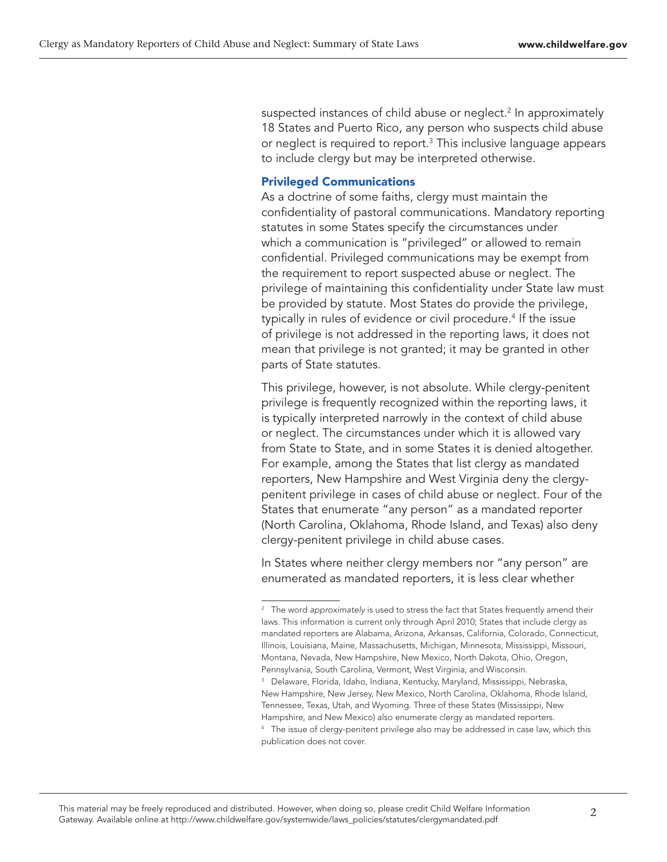suspected instances of child abuse or neglect.2 In approximately 18 States and Puerto Rico, any person who suspects child abuse or neglect is required to report. $3$  This inclusive language appears to include clergy but may be interpreted otherwise.

# Privileged Communications

As a doctrine of some faiths, clergy must maintain the confidentiality of pastoral communications. Mandatory reporting statutes in some States specify the circumstances under which a communication is "privileged" or allowed to remain confidential. Privileged communications may be exempt from the requirement to report suspected abuse or neglect. The privilege of maintaining this confidentiality under State law must be provided by statute. Most States do provide the privilege, typically in rules of evidence or civil procedure.<sup>4</sup> If the issue of privilege is not addressed in the reporting laws, it does not mean that privilege is not granted; it may be granted in other parts of State statutes.

This privilege, however, is not absolute. While clergy-penitent privilege is frequently recognized within the reporting laws, it is typically interpreted narrowly in the context of child abuse or neglect. The circumstances under which it is allowed vary from State to State, and in some States it is denied altogether. For example, among the States that list clergy as mandated reporters, New Hampshire and West Virginia deny the clergypenitent privilege in cases of child abuse or neglect. Four of the States that enumerate "any person" as a mandated reporter (North Carolina, Oklahoma, Rhode Island, and Texas) also deny clergy-penitent privilege in child abuse cases.

In States where neither clergy members nor "any person" are enumerated as mandated reporters, it is less clear whether

<sup>&</sup>lt;sup>2</sup> The word approximately is used to stress the fact that States frequently amend their laws. This information is current only through April 2010; States that include clergy as mandated reporters are Alabama, Arizona, Arkansas, California, Colorado, Connecticut, Illinois, Louisiana, Maine, Massachusetts, Michigan, Minnesota, Mississippi, Missouri, Montana, Nevada, New Hampshire, New Mexico, North Dakota, Ohio, Oregon, Pennsylvania, South Carolina, Vermont, West Virginia, and Wisconsin.

<sup>&</sup>lt;sup>3</sup> Delaware, Florida, Idaho, Indiana, Kentucky, Maryland, Mississippi, Nebraska, New Hampshire, New Jersey, New Mexico, North Carolina, Oklahoma, Rhode Island, Tennessee, Texas, Utah, and Wyoming. Three of these States (Mississippi, New Hampshire, and New Mexico) also enumerate clergy as mandated reporters.

<sup>&</sup>lt;sup>4</sup> The issue of clergy-penitent privilege also may be addressed in case law, which this publication does not cover.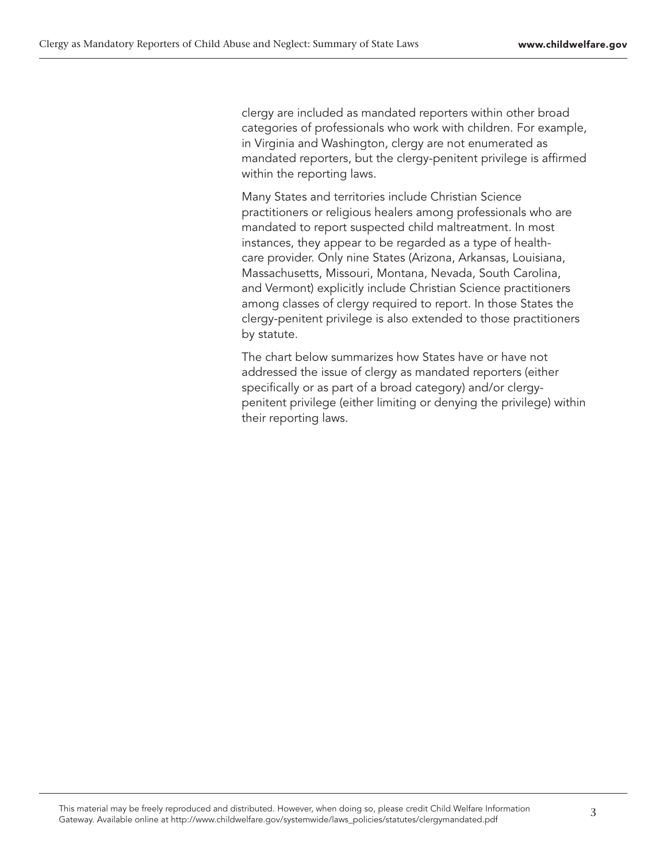clergy are included as mandated reporters within other broad categories of professionals who work with children. For example, in Virginia and Washington, clergy are not enumerated as mandated reporters, but the clergy-penitent privilege is affirmed within the reporting laws.

Many States and territories include Christian Science practitioners or religious healers among professionals who are mandated to report suspected child maltreatment. In most instances, they appear to be regarded as a type of healthcare provider. Only nine States (Arizona, Arkansas, Louisiana, Massachusetts, Missouri, Montana, Nevada, South Carolina, and Vermont) explicitly include Christian Science practitioners among classes of clergy required to report. In those States the clergy-penitent privilege is also extended to those practitioners by statute.

The chart below summarizes how States have or have not addressed the issue of clergy as mandated reporters (either specifically or as part of a broad category) and/or clergypenitent privilege (either limiting or denying the privilege) within their reporting laws.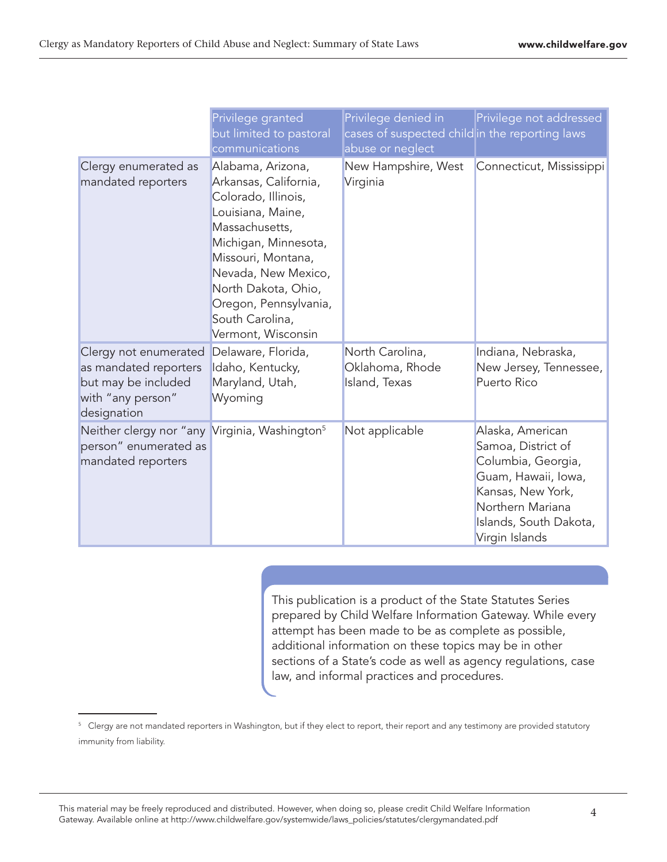|                                                                                                           | Privilege granted<br>but limited to pastoral<br>communications                                                                                                                                                                                                         | Privilege denied in<br>cases of suspected child in the reporting laws<br>abuse or neglect | Privilege not addressed                                                                                                                                                  |
|-----------------------------------------------------------------------------------------------------------|------------------------------------------------------------------------------------------------------------------------------------------------------------------------------------------------------------------------------------------------------------------------|-------------------------------------------------------------------------------------------|--------------------------------------------------------------------------------------------------------------------------------------------------------------------------|
| Clergy enumerated as<br>mandated reporters                                                                | Alabama, Arizona,<br>Arkansas, California,<br>Colorado, Illinois,<br>Louisiana, Maine,<br>Massachusetts,<br>Michigan, Minnesota,<br>Missouri, Montana,<br>Nevada, New Mexico,<br>North Dakota, Ohio,<br>Oregon, Pennsylvania,<br>South Carolina,<br>Vermont, Wisconsin | New Hampshire, West<br>Virginia                                                           | Connecticut, Mississippi                                                                                                                                                 |
| Clergy not enumerated<br>as mandated reporters<br>but may be included<br>with "any person"<br>designation | Delaware, Florida,<br>Idaho, Kentucky,<br>Maryland, Utah,<br>Wyoming                                                                                                                                                                                                   | North Carolina,<br>Oklahoma, Rhode<br>Island, Texas                                       | Indiana, Nebraska,<br>New Jersey, Tennessee,<br>Puerto Rico                                                                                                              |
| Neither clergy nor "any Virginia, Washington <sup>5</sup><br>person" enumerated as<br>mandated reporters  |                                                                                                                                                                                                                                                                        | Not applicable                                                                            | Alaska, American<br>Samoa, District of<br>Columbia, Georgia,<br>Guam, Hawaii, Iowa,<br>Kansas, New York,<br>Northern Mariana<br>Islands, South Dakota,<br>Virgin Islands |

This publication is a product of the State Statutes Series prepared by Child Welfare Information Gateway. While every attempt has been made to be as complete as possible, additional information on these topics may be in other sections of a State's code as well as agency regulations, case law, and informal practices and procedures.

<sup>&</sup>lt;sup>5</sup> Clergy are not mandated reporters in Washington, but if they elect to report, their report and any testimony are provided statutory immunity from liability.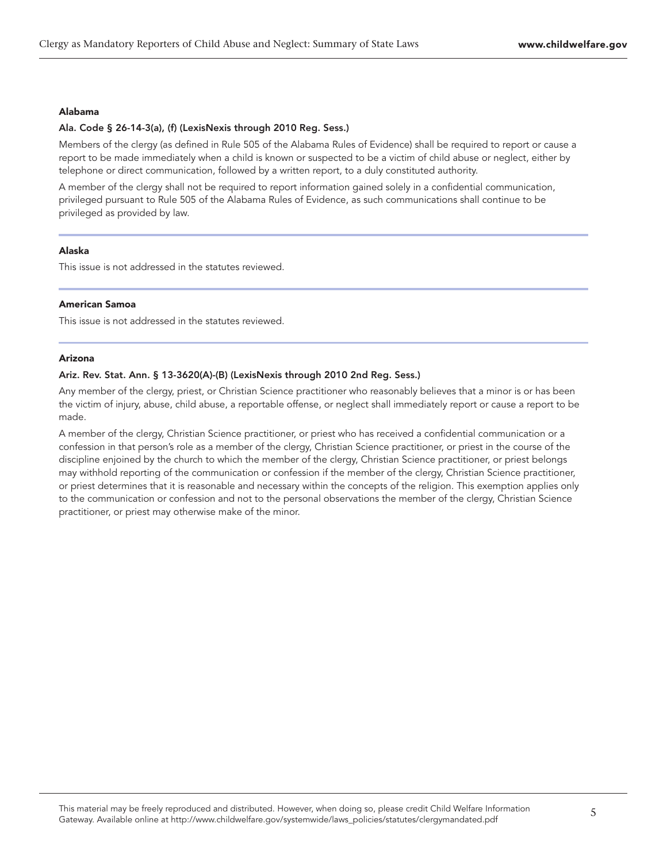#### Alabama

#### Ala. Code § 26-14-3(a), (f) (LexisNexis through 2010 Reg. Sess.)

Members of the clergy (as defined in Rule 505 of the Alabama Rules of Evidence) shall be required to report or cause a report to be made immediately when a child is known or suspected to be a victim of child abuse or neglect, either by telephone or direct communication, followed by a written report, to a duly constituted authority.

A member of the clergy shall not be required to report information gained solely in a confidential communication, privileged pursuant to Rule 505 of the Alabama Rules of Evidence, as such communications shall continue to be privileged as provided by law.

# Alaska

This issue is not addressed in the statutes reviewed.

# American Samoa

This issue is not addressed in the statutes reviewed.

# Arizona

# Ariz. Rev. Stat. Ann. § 13-3620(A)-(B) (LexisNexis through 2010 2nd Reg. Sess.)

Any member of the clergy, priest, or Christian Science practitioner who reasonably believes that a minor is or has been the victim of injury, abuse, child abuse, a reportable offense, or neglect shall immediately report or cause a report to be made.

A member of the clergy, Christian Science practitioner, or priest who has received a confidential communication or a confession in that person's role as a member of the clergy, Christian Science practitioner, or priest in the course of the discipline enjoined by the church to which the member of the clergy, Christian Science practitioner, or priest belongs may withhold reporting of the communication or confession if the member of the clergy, Christian Science practitioner, or priest determines that it is reasonable and necessary within the concepts of the religion. This exemption applies only to the communication or confession and not to the personal observations the member of the clergy, Christian Science practitioner, or priest may otherwise make of the minor.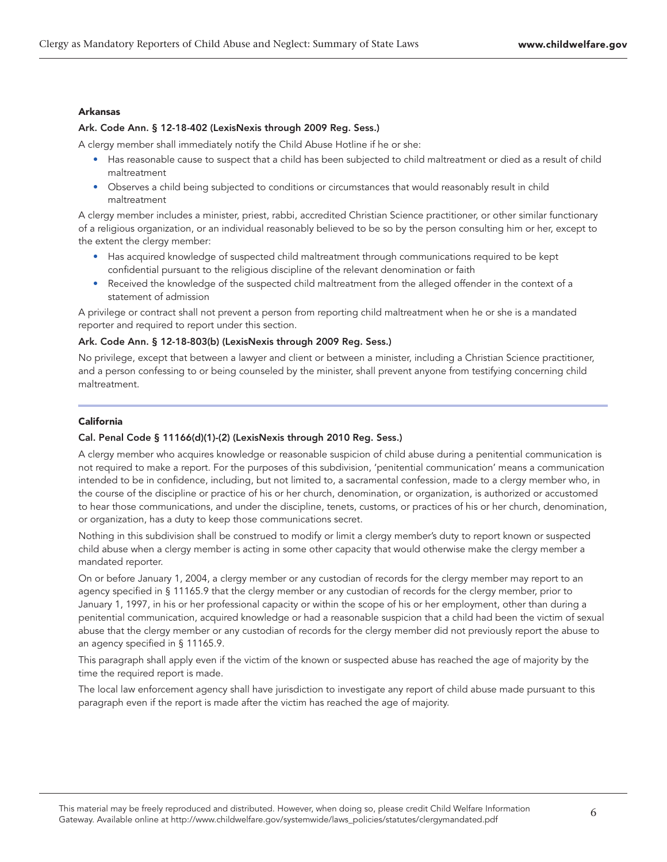# Arkansas

# Ark. Code Ann. § 12-18-402 (LexisNexis through 2009 Reg. Sess.)

A clergy member shall immediately notify the Child Abuse Hotline if he or she:

- Has reasonable cause to suspect that a child has been subjected to child maltreatment or died as a result of child maltreatment
- Observes a child being subjected to conditions or circumstances that would reasonably result in child maltreatment

A clergy member includes a minister, priest, rabbi, accredited Christian Science practitioner, or other similar functionary of a religious organization, or an individual reasonably believed to be so by the person consulting him or her, except to the extent the clergy member:

- Has acquired knowledge of suspected child maltreatment through communications required to be kept confidential pursuant to the religious discipline of the relevant denomination or faith
- Received the knowledge of the suspected child maltreatment from the alleged offender in the context of a statement of admission

A privilege or contract shall not prevent a person from reporting child maltreatment when he or she is a mandated reporter and required to report under this section.

## Ark. Code Ann. § 12-18-803(b) (LexisNexis through 2009 Reg. Sess.)

No privilege, except that between a lawyer and client or between a minister, including a Christian Science practitioner, and a person confessing to or being counseled by the minister, shall prevent anyone from testifying concerning child maltreatment.

# California

# Cal. Penal Code § 11166(d)(1)-(2) (LexisNexis through 2010 Reg. Sess.)

A clergy member who acquires knowledge or reasonable suspicion of child abuse during a penitential communication is not required to make a report. For the purposes of this subdivision, 'penitential communication' means a communication intended to be in confidence, including, but not limited to, a sacramental confession, made to a clergy member who, in the course of the discipline or practice of his or her church, denomination, or organization, is authorized or accustomed to hear those communications, and under the discipline, tenets, customs, or practices of his or her church, denomination, or organization, has a duty to keep those communications secret.

Nothing in this subdivision shall be construed to modify or limit a clergy member's duty to report known or suspected child abuse when a clergy member is acting in some other capacity that would otherwise make the clergy member a mandated reporter.

On or before January 1, 2004, a clergy member or any custodian of records for the clergy member may report to an agency specified in § 11165.9 that the clergy member or any custodian of records for the clergy member, prior to January 1, 1997, in his or her professional capacity or within the scope of his or her employment, other than during a penitential communication, acquired knowledge or had a reasonable suspicion that a child had been the victim of sexual abuse that the clergy member or any custodian of records for the clergy member did not previously report the abuse to an agency specified in § 11165.9.

This paragraph shall apply even if the victim of the known or suspected abuse has reached the age of majority by the time the required report is made.

The local law enforcement agency shall have jurisdiction to investigate any report of child abuse made pursuant to this paragraph even if the report is made after the victim has reached the age of majority.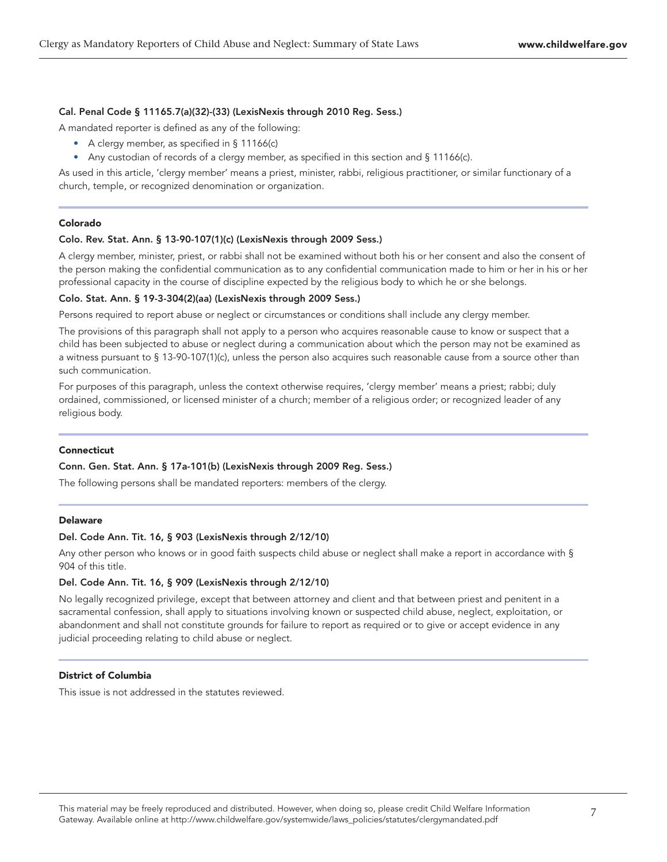# Cal. Penal Code § 11165.7(a)(32)-(33) (LexisNexis through 2010 Reg. Sess.)

A mandated reporter is defined as any of the following:

- A clergy member, as specified in § 11166(c)
- Any custodian of records of a clergy member, as specified in this section and § 11166(c).

As used in this article, 'clergy member' means a priest, minister, rabbi, religious practitioner, or similar functionary of a church, temple, or recognized denomination or organization.

# Colorado

# Colo. Rev. Stat. Ann. § 13-90-107(1)(c) (LexisNexis through 2009 Sess.)

A clergy member, minister, priest, or rabbi shall not be examined without both his or her consent and also the consent of the person making the confidential communication as to any confidential communication made to him or her in his or her professional capacity in the course of discipline expected by the religious body to which he or she belongs.

# Colo. Stat. Ann. § 19-3-304(2)(aa) (LexisNexis through 2009 Sess.)

Persons required to report abuse or neglect or circumstances or conditions shall include any clergy member.

The provisions of this paragraph shall not apply to a person who acquires reasonable cause to know or suspect that a child has been subjected to abuse or neglect during a communication about which the person may not be examined as a witness pursuant to § 13-90-107(1)(c), unless the person also acquires such reasonable cause from a source other than such communication.

For purposes of this paragraph, unless the context otherwise requires, 'clergy member' means a priest; rabbi; duly ordained, commissioned, or licensed minister of a church; member of a religious order; or recognized leader of any religious body.

# Connecticut

# Conn. Gen. Stat. Ann. § 17a-101(b) (LexisNexis through 2009 Reg. Sess.)

The following persons shall be mandated reporters: members of the clergy.

# Delaware

# Del. Code Ann. Tit. 16, § 903 (LexisNexis through 2/12/10)

Any other person who knows or in good faith suspects child abuse or neglect shall make a report in accordance with § 904 of this title.

# Del. Code Ann. Tit. 16, § 909 (LexisNexis through 2/12/10)

No legally recognized privilege, except that between attorney and client and that between priest and penitent in a sacramental confession, shall apply to situations involving known or suspected child abuse, neglect, exploitation, or abandonment and shall not constitute grounds for failure to report as required or to give or accept evidence in any judicial proceeding relating to child abuse or neglect.

# District of Columbia

This issue is not addressed in the statutes reviewed.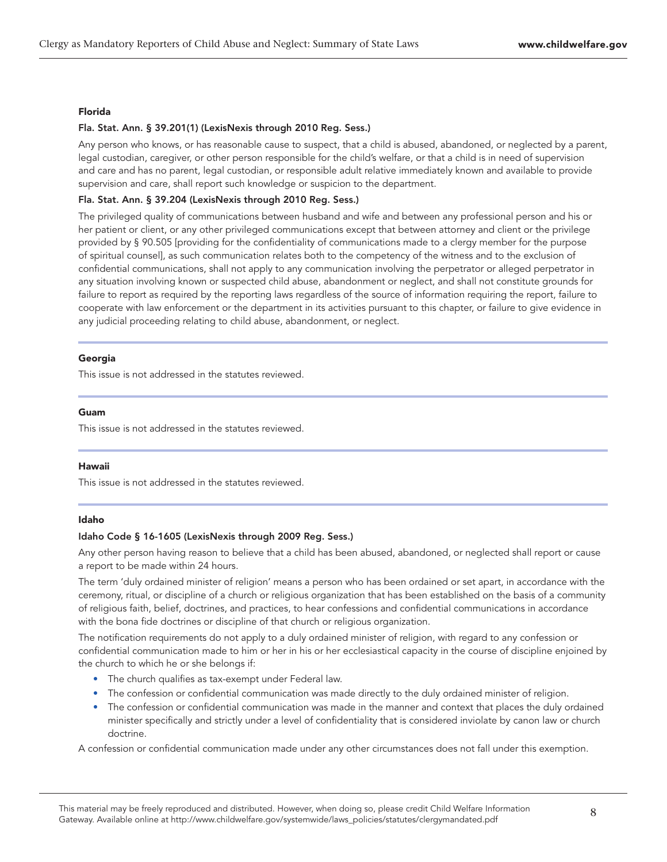#### Florida

#### Fla. Stat. Ann. § 39.201(1) (LexisNexis through 2010 Reg. Sess.)

Any person who knows, or has reasonable cause to suspect, that a child is abused, abandoned, or neglected by a parent, legal custodian, caregiver, or other person responsible for the child's welfare, or that a child is in need of supervision and care and has no parent, legal custodian, or responsible adult relative immediately known and available to provide supervision and care, shall report such knowledge or suspicion to the department.

# Fla. Stat. Ann. § 39.204 (LexisNexis through 2010 Reg. Sess.)

The privileged quality of communications between husband and wife and between any professional person and his or her patient or client, or any other privileged communications except that between attorney and client or the privilege provided by § 90.505 [providing for the confidentiality of communications made to a clergy member for the purpose of spiritual counsel], as such communication relates both to the competency of the witness and to the exclusion of confidential communications, shall not apply to any communication involving the perpetrator or alleged perpetrator in any situation involving known or suspected child abuse, abandonment or neglect, and shall not constitute grounds for failure to report as required by the reporting laws regardless of the source of information requiring the report, failure to cooperate with law enforcement or the department in its activities pursuant to this chapter, or failure to give evidence in any judicial proceeding relating to child abuse, abandonment, or neglect.

#### Georgia

This issue is not addressed in the statutes reviewed.

### Guam

This issue is not addressed in the statutes reviewed.

# Hawaii

This issue is not addressed in the statutes reviewed.

# Idaho

# Idaho Code § 16-1605 (LexisNexis through 2009 Reg. Sess.)

Any other person having reason to believe that a child has been abused, abandoned, or neglected shall report or cause a report to be made within 24 hours.

The term 'duly ordained minister of religion' means a person who has been ordained or set apart, in accordance with the ceremony, ritual, or discipline of a church or religious organization that has been established on the basis of a community of religious faith, belief, doctrines, and practices, to hear confessions and confidential communications in accordance with the bona fide doctrines or discipline of that church or religious organization.

The notification requirements do not apply to a duly ordained minister of religion, with regard to any confession or confidential communication made to him or her in his or her ecclesiastical capacity in the course of discipline enjoined by the church to which he or she belongs if:

- The church qualifies as tax-exempt under Federal law.
- The confession or confidential communication was made directly to the duly ordained minister of religion.
- The confession or confidential communication was made in the manner and context that places the duly ordained minister specifically and strictly under a level of confidentiality that is considered inviolate by canon law or church doctrine.

A confession or confidential communication made under any other circumstances does not fall under this exemption.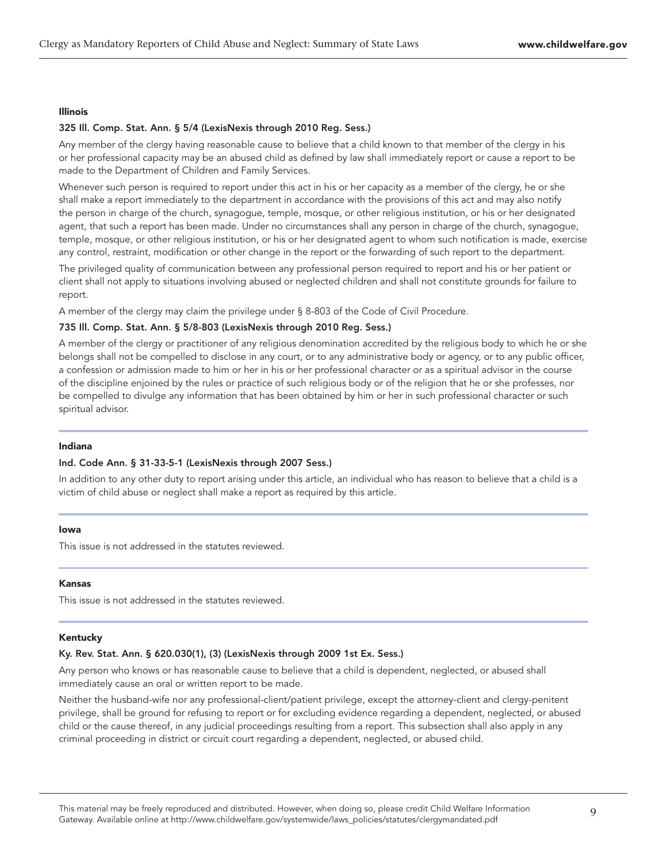## Illinois

# 325 Ill. Comp. Stat. Ann. § 5/4 (LexisNexis through 2010 Reg. Sess.)

Any member of the clergy having reasonable cause to believe that a child known to that member of the clergy in his or her professional capacity may be an abused child as defined by law shall immediately report or cause a report to be made to the Department of Children and Family Services.

Whenever such person is required to report under this act in his or her capacity as a member of the clergy, he or she shall make a report immediately to the department in accordance with the provisions of this act and may also notify the person in charge of the church, synagogue, temple, mosque, or other religious institution, or his or her designated agent, that such a report has been made. Under no circumstances shall any person in charge of the church, synagogue, temple, mosque, or other religious institution, or his or her designated agent to whom such notification is made, exercise any control, restraint, modification or other change in the report or the forwarding of such report to the department.

The privileged quality of communication between any professional person required to report and his or her patient or client shall not apply to situations involving abused or neglected children and shall not constitute grounds for failure to report.

A member of the clergy may claim the privilege under § 8-803 of the Code of Civil Procedure.

# 735 Ill. Comp. Stat. Ann. § 5/8-803 (LexisNexis through 2010 Reg. Sess.)

A member of the clergy or practitioner of any religious denomination accredited by the religious body to which he or she belongs shall not be compelled to disclose in any court, or to any administrative body or agency, or to any public officer, a confession or admission made to him or her in his or her professional character or as a spiritual advisor in the course of the discipline enjoined by the rules or practice of such religious body or of the religion that he or she professes, nor be compelled to divulge any information that has been obtained by him or her in such professional character or such spiritual advisor.

#### Indiana

#### Ind. Code Ann. § 31-33-5-1 (LexisNexis through 2007 Sess.)

In addition to any other duty to report arising under this article, an individual who has reason to believe that a child is a victim of child abuse or neglect shall make a report as required by this article.

#### Iowa

This issue is not addressed in the statutes reviewed.

#### Kansas

This issue is not addressed in the statutes reviewed.

#### Kentucky

### Ky. Rev. Stat. Ann. § 620.030(1), (3) (LexisNexis through 2009 1st Ex. Sess.)

Any person who knows or has reasonable cause to believe that a child is dependent, neglected, or abused shall immediately cause an oral or written report to be made.

Neither the husband-wife nor any professional-client/patient privilege, except the attorney-client and clergy-penitent privilege, shall be ground for refusing to report or for excluding evidence regarding a dependent, neglected, or abused child or the cause thereof, in any judicial proceedings resulting from a report. This subsection shall also apply in any criminal proceeding in district or circuit court regarding a dependent, neglected, or abused child.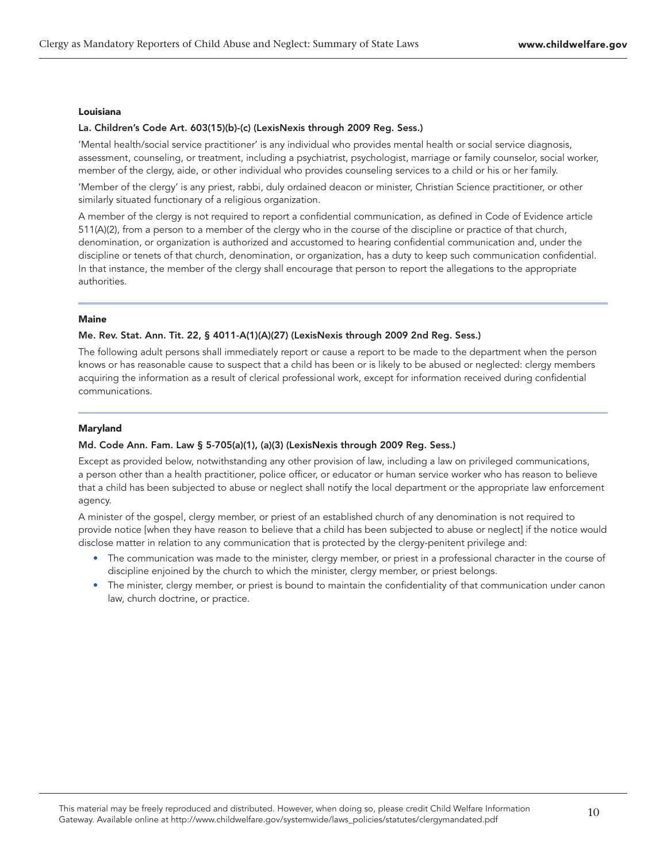#### Louisiana

# La. Children's Code Art. 603(15)(b)-(c) (LexisNexis through 2009 Reg. Sess.)

'Mental health/social service practitioner' is any individual who provides mental health or social service diagnosis, assessment, counseling, or treatment, including a psychiatrist, psychologist, marriage or family counselor, social worker, member of the clergy, aide, or other individual who provides counseling services to a child or his or her family.

'Member of the clergy' is any priest, rabbi, duly ordained deacon or minister, Christian Science practitioner, or other similarly situated functionary of a religious organization.

A member of the clergy is not required to report a confidential communication, as defined in Code of Evidence article 511(A)(2), from a person to a member of the clergy who in the course of the discipline or practice of that church, denomination, or organization is authorized and accustomed to hearing confidential communication and, under the discipline or tenets of that church, denomination, or organization, has a duty to keep such communication confidential. In that instance, the member of the clergy shall encourage that person to report the allegations to the appropriate authorities.

# **Maine**

# Me. Rev. Stat. Ann. Tit. 22, § 4011-A(1)(A)(27) (LexisNexis through 2009 2nd Reg. Sess.)

The following adult persons shall immediately report or cause a report to be made to the department when the person knows or has reasonable cause to suspect that a child has been or is likely to be abused or neglected: clergy members acquiring the information as a result of clerical professional work, except for information received during confidential communications.

# Maryland

# Md. Code Ann. Fam. Law § 5-705(a)(1), (a)(3) (LexisNexis through 2009 Reg. Sess.)

Except as provided below, notwithstanding any other provision of law, including a law on privileged communications, a person other than a health practitioner, police officer, or educator or human service worker who has reason to believe that a child has been subjected to abuse or neglect shall notify the local department or the appropriate law enforcement agency.

A minister of the gospel, clergy member, or priest of an established church of any denomination is not required to provide notice [when they have reason to believe that a child has been subjected to abuse or neglect] if the notice would disclose matter in relation to any communication that is protected by the clergy-penitent privilege and:

- The communication was made to the minister, clergy member, or priest in a professional character in the course of discipline enjoined by the church to which the minister, clergy member, or priest belongs.
- The minister, clergy member, or priest is bound to maintain the confidentiality of that communication under canon law, church doctrine, or practice.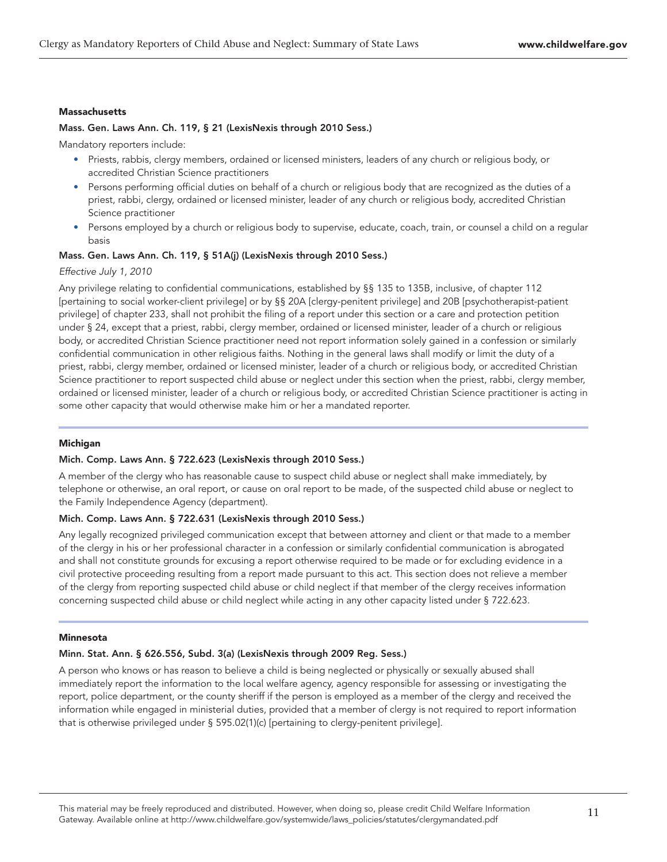## **Massachusetts**

## Mass. Gen. Laws Ann. Ch. 119, § 21 (LexisNexis through 2010 Sess.)

Mandatory reporters include:

- Priests, rabbis, clergy members, ordained or licensed ministers, leaders of any church or religious body, or accredited Christian Science practitioners
- Persons performing official duties on behalf of a church or religious body that are recognized as the duties of a priest, rabbi, clergy, ordained or licensed minister, leader of any church or religious body, accredited Christian Science practitioner
- Persons employed by a church or religious body to supervise, educate, coach, train, or counsel a child on a regular basis

#### Mass. Gen. Laws Ann. Ch. 119, § 51A(j) (LexisNexis through 2010 Sess.)

# Effective July 1, 2010

Any privilege relating to confidential communications, established by §§ 135 to 135B, inclusive, of chapter 112 [pertaining to social worker-client privilege] or by §§ 20A [clergy-penitent privilege] and 20B [psychotherapist-patient privilege] of chapter 233, shall not prohibit the filing of a report under this section or a care and protection petition under § 24, except that a priest, rabbi, clergy member, ordained or licensed minister, leader of a church or religious body, or accredited Christian Science practitioner need not report information solely gained in a confession or similarly confidential communication in other religious faiths. Nothing in the general laws shall modify or limit the duty of a priest, rabbi, clergy member, ordained or licensed minister, leader of a church or religious body, or accredited Christian Science practitioner to report suspected child abuse or neglect under this section when the priest, rabbi, clergy member, ordained or licensed minister, leader of a church or religious body, or accredited Christian Science practitioner is acting in some other capacity that would otherwise make him or her a mandated reporter.

#### Michigan

#### Mich. Comp. Laws Ann. § 722.623 (LexisNexis through 2010 Sess.)

A member of the clergy who has reasonable cause to suspect child abuse or neglect shall make immediately, by telephone or otherwise, an oral report, or cause on oral report to be made, of the suspected child abuse or neglect to the Family Independence Agency (department).

# Mich. Comp. Laws Ann. § 722.631 (LexisNexis through 2010 Sess.)

Any legally recognized privileged communication except that between attorney and client or that made to a member of the clergy in his or her professional character in a confession or similarly confidential communication is abrogated and shall not constitute grounds for excusing a report otherwise required to be made or for excluding evidence in a civil protective proceeding resulting from a report made pursuant to this act. This section does not relieve a member of the clergy from reporting suspected child abuse or child neglect if that member of the clergy receives information concerning suspected child abuse or child neglect while acting in any other capacity listed under § 722.623.

#### **Minnesota**

#### Minn. Stat. Ann. § 626.556, Subd. 3(a) (LexisNexis through 2009 Reg. Sess.)

A person who knows or has reason to believe a child is being neglected or physically or sexually abused shall immediately report the information to the local welfare agency, agency responsible for assessing or investigating the report, police department, or the county sheriff if the person is employed as a member of the clergy and received the information while engaged in ministerial duties, provided that a member of clergy is not required to report information that is otherwise privileged under § 595.02(1)(c) [pertaining to clergy-penitent privilege].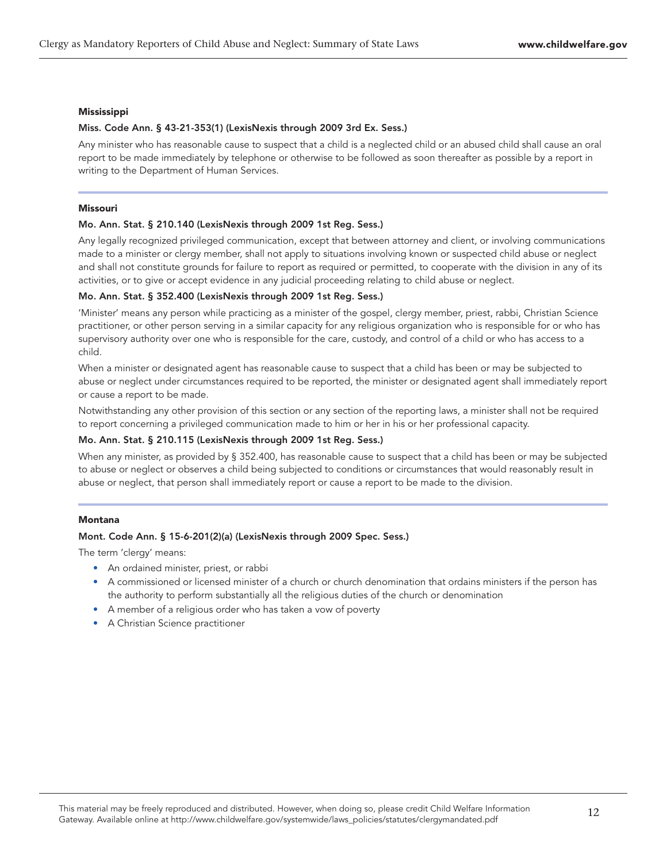#### Mississippi

# Miss. Code Ann. § 43-21-353(1) (LexisNexis through 2009 3rd Ex. Sess.)

Any minister who has reasonable cause to suspect that a child is a neglected child or an abused child shall cause an oral report to be made immediately by telephone or otherwise to be followed as soon thereafter as possible by a report in writing to the Department of Human Services.

# Missouri

#### Mo. Ann. Stat. § 210.140 (LexisNexis through 2009 1st Reg. Sess.)

Any legally recognized privileged communication, except that between attorney and client, or involving communications made to a minister or clergy member, shall not apply to situations involving known or suspected child abuse or neglect and shall not constitute grounds for failure to report as required or permitted, to cooperate with the division in any of its activities, or to give or accept evidence in any judicial proceeding relating to child abuse or neglect.

## Mo. Ann. Stat. § 352.400 (LexisNexis through 2009 1st Reg. Sess.)

'Minister' means any person while practicing as a minister of the gospel, clergy member, priest, rabbi, Christian Science practitioner, or other person serving in a similar capacity for any religious organization who is responsible for or who has supervisory authority over one who is responsible for the care, custody, and control of a child or who has access to a child.

When a minister or designated agent has reasonable cause to suspect that a child has been or may be subjected to abuse or neglect under circumstances required to be reported, the minister or designated agent shall immediately report or cause a report to be made.

Notwithstanding any other provision of this section or any section of the reporting laws, a minister shall not be required to report concerning a privileged communication made to him or her in his or her professional capacity.

# Mo. Ann. Stat. § 210.115 (LexisNexis through 2009 1st Reg. Sess.)

When any minister, as provided by § 352.400, has reasonable cause to suspect that a child has been or may be subjected to abuse or neglect or observes a child being subjected to conditions or circumstances that would reasonably result in abuse or neglect, that person shall immediately report or cause a report to be made to the division.

# Montana

# Mont. Code Ann. § 15-6-201(2)(a) (LexisNexis through 2009 Spec. Sess.)

The term 'clergy' means:

- An ordained minister, priest, or rabbi
- A commissioned or licensed minister of a church or church denomination that ordains ministers if the person has the authority to perform substantially all the religious duties of the church or denomination
- A member of a religious order who has taken a vow of poverty
- A Christian Science practitioner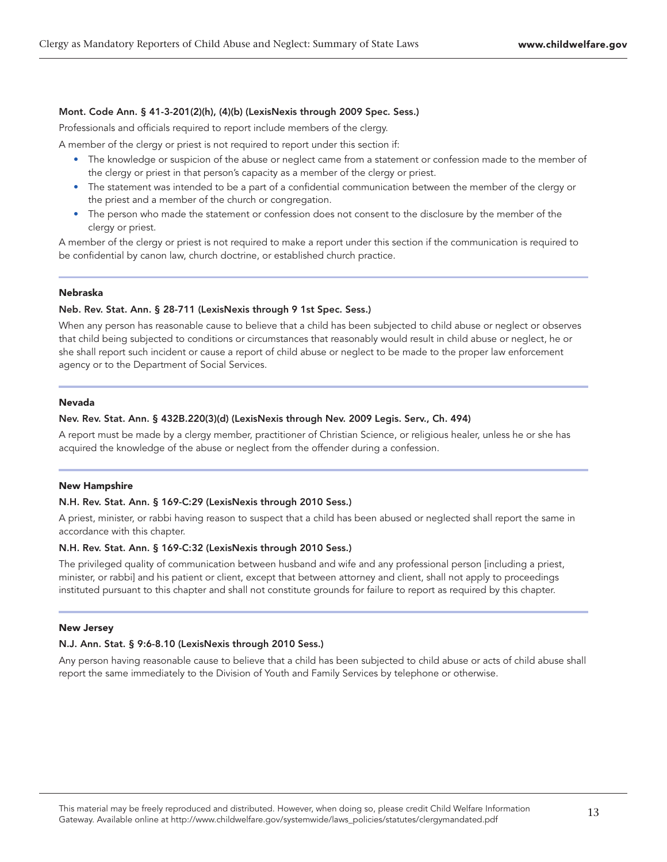# Mont. Code Ann. § 41-3-201(2)(h), (4)(b) (LexisNexis through 2009 Spec. Sess.)

Professionals and officials required to report include members of the clergy.

A member of the clergy or priest is not required to report under this section if:

- The knowledge or suspicion of the abuse or neglect came from a statement or confession made to the member of the clergy or priest in that person's capacity as a member of the clergy or priest.
- The statement was intended to be a part of a confidential communication between the member of the clergy or the priest and a member of the church or congregation.
- The person who made the statement or confession does not consent to the disclosure by the member of the clergy or priest.

A member of the clergy or priest is not required to make a report under this section if the communication is required to be confidential by canon law, church doctrine, or established church practice.

#### Nebraska

#### Neb. Rev. Stat. Ann. § 28-711 (LexisNexis through 9 1st Spec. Sess.)

When any person has reasonable cause to believe that a child has been subjected to child abuse or neglect or observes that child being subjected to conditions or circumstances that reasonably would result in child abuse or neglect, he or she shall report such incident or cause a report of child abuse or neglect to be made to the proper law enforcement agency or to the Department of Social Services.

#### Nevada

#### Nev. Rev. Stat. Ann. § 432B.220(3)(d) (LexisNexis through Nev. 2009 Legis. Serv., Ch. 494)

A report must be made by a clergy member, practitioner of Christian Science, or religious healer, unless he or she has acquired the knowledge of the abuse or neglect from the offender during a confession.

#### New Hampshire

# N.H. Rev. Stat. Ann. § 169-C:29 (LexisNexis through 2010 Sess.)

A priest, minister, or rabbi having reason to suspect that a child has been abused or neglected shall report the same in accordance with this chapter.

## N.H. Rev. Stat. Ann. § 169-C:32 (LexisNexis through 2010 Sess.)

The privileged quality of communication between husband and wife and any professional person [including a priest, minister, or rabbi] and his patient or client, except that between attorney and client, shall not apply to proceedings instituted pursuant to this chapter and shall not constitute grounds for failure to report as required by this chapter.

### New Jersey

# N.J. Ann. Stat. § 9:6-8.10 (LexisNexis through 2010 Sess.)

Any person having reasonable cause to believe that a child has been subjected to child abuse or acts of child abuse shall report the same immediately to the Division of Youth and Family Services by telephone or otherwise.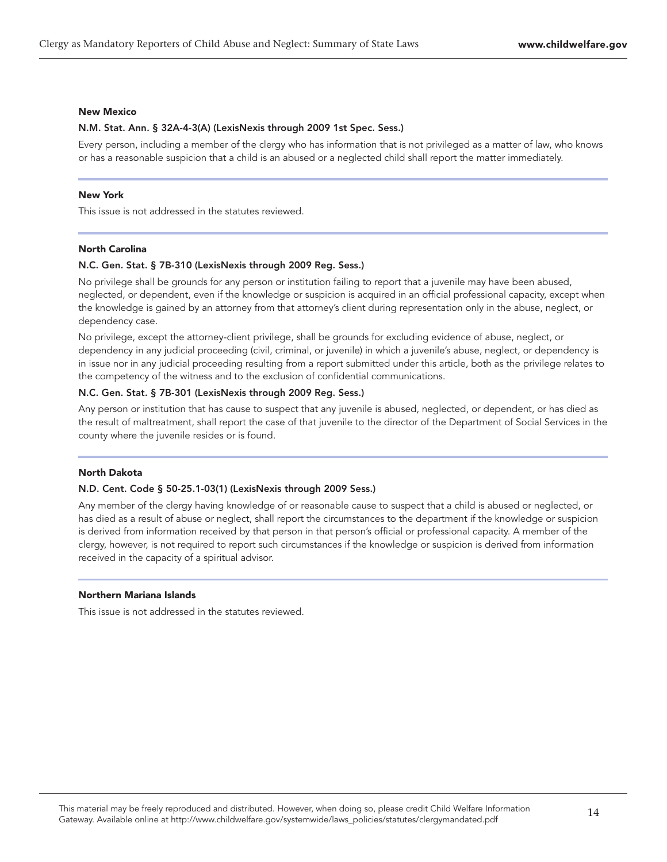#### New Mexico

#### N.M. Stat. Ann. § 32A-4-3(A) (LexisNexis through 2009 1st Spec. Sess.)

Every person, including a member of the clergy who has information that is not privileged as a matter of law, who knows or has a reasonable suspicion that a child is an abused or a neglected child shall report the matter immediately.

#### New York

This issue is not addressed in the statutes reviewed.

#### North Carolina

## N.C. Gen. Stat. § 7B-310 (LexisNexis through 2009 Reg. Sess.)

No privilege shall be grounds for any person or institution failing to report that a juvenile may have been abused, neglected, or dependent, even if the knowledge or suspicion is acquired in an official professional capacity, except when the knowledge is gained by an attorney from that attorney's client during representation only in the abuse, neglect, or dependency case.

No privilege, except the attorney-client privilege, shall be grounds for excluding evidence of abuse, neglect, or dependency in any judicial proceeding (civil, criminal, or juvenile) in which a juvenile's abuse, neglect, or dependency is in issue nor in any judicial proceeding resulting from a report submitted under this article, both as the privilege relates to the competency of the witness and to the exclusion of confidential communications.

# N.C. Gen. Stat. § 7B-301 (LexisNexis through 2009 Reg. Sess.)

Any person or institution that has cause to suspect that any juvenile is abused, neglected, or dependent, or has died as the result of maltreatment, shall report the case of that juvenile to the director of the Department of Social Services in the county where the juvenile resides or is found.

# North Dakota

#### N.D. Cent. Code § 50-25.1-03(1) (LexisNexis through 2009 Sess.)

Any member of the clergy having knowledge of or reasonable cause to suspect that a child is abused or neglected, or has died as a result of abuse or neglect, shall report the circumstances to the department if the knowledge or suspicion is derived from information received by that person in that person's official or professional capacity. A member of the clergy, however, is not required to report such circumstances if the knowledge or suspicion is derived from information received in the capacity of a spiritual advisor.

#### Northern Mariana Islands

This issue is not addressed in the statutes reviewed.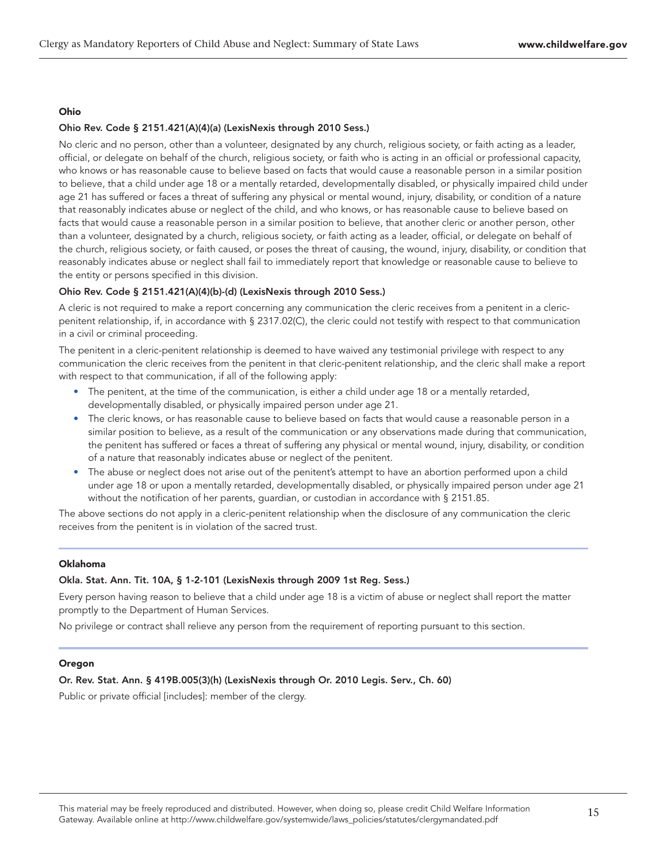# Ohio

# Ohio Rev. Code § 2151.421(A)(4)(a) (LexisNexis through 2010 Sess.)

No cleric and no person, other than a volunteer, designated by any church, religious society, or faith acting as a leader, official, or delegate on behalf of the church, religious society, or faith who is acting in an official or professional capacity, who knows or has reasonable cause to believe based on facts that would cause a reasonable person in a similar position to believe, that a child under age 18 or a mentally retarded, developmentally disabled, or physically impaired child under age 21 has suffered or faces a threat of suffering any physical or mental wound, injury, disability, or condition of a nature that reasonably indicates abuse or neglect of the child, and who knows, or has reasonable cause to believe based on facts that would cause a reasonable person in a similar position to believe, that another cleric or another person, other than a volunteer, designated by a church, religious society, or faith acting as a leader, official, or delegate on behalf of the church, religious society, or faith caused, or poses the threat of causing, the wound, injury, disability, or condition that reasonably indicates abuse or neglect shall fail to immediately report that knowledge or reasonable cause to believe to the entity or persons specified in this division.

# Ohio Rev. Code § 2151.421(A)(4)(b)-(d) (LexisNexis through 2010 Sess.)

A cleric is not required to make a report concerning any communication the cleric receives from a penitent in a clericpenitent relationship, if, in accordance with § 2317.02(C), the cleric could not testify with respect to that communication in a civil or criminal proceeding.

The penitent in a cleric-penitent relationship is deemed to have waived any testimonial privilege with respect to any communication the cleric receives from the penitent in that cleric-penitent relationship, and the cleric shall make a report with respect to that communication, if all of the following apply:

- The penitent, at the time of the communication, is either a child under age 18 or a mentally retarded, developmentally disabled, or physically impaired person under age 21.
- The cleric knows, or has reasonable cause to believe based on facts that would cause a reasonable person in a similar position to believe, as a result of the communication or any observations made during that communication, the penitent has suffered or faces a threat of suffering any physical or mental wound, injury, disability, or condition of a nature that reasonably indicates abuse or neglect of the penitent.
- The abuse or neglect does not arise out of the penitent's attempt to have an abortion performed upon a child under age 18 or upon a mentally retarded, developmentally disabled, or physically impaired person under age 21 without the notification of her parents, guardian, or custodian in accordance with § 2151.85.

The above sections do not apply in a cleric-penitent relationship when the disclosure of any communication the cleric receives from the penitent is in violation of the sacred trust.

# Oklahoma

# Okla. Stat. Ann. Tit. 10A, § 1-2-101 (LexisNexis through 2009 1st Reg. Sess.)

Every person having reason to believe that a child under age 18 is a victim of abuse or neglect shall report the matter promptly to the Department of Human Services.

No privilege or contract shall relieve any person from the requirement of reporting pursuant to this section.

# **Oregon**

# Or. Rev. Stat. Ann. § 419B.005(3)(h) (LexisNexis through Or. 2010 Legis. Serv., Ch. 60)

Public or private official [includes]: member of the clergy.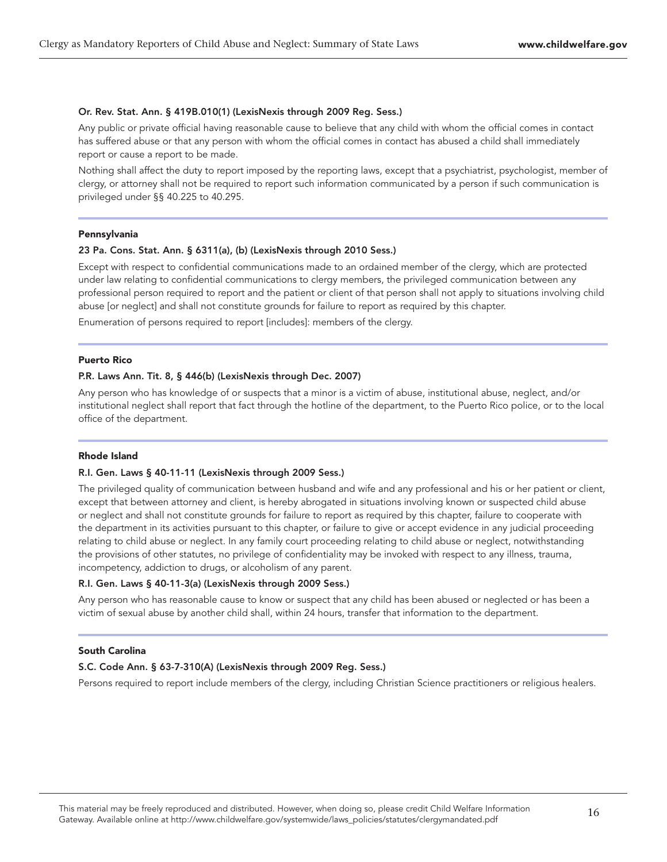## Or. Rev. Stat. Ann. § 419B.010(1) (LexisNexis through 2009 Reg. Sess.)

Any public or private official having reasonable cause to believe that any child with whom the official comes in contact has suffered abuse or that any person with whom the official comes in contact has abused a child shall immediately report or cause a report to be made.

Nothing shall affect the duty to report imposed by the reporting laws, except that a psychiatrist, psychologist, member of clergy, or attorney shall not be required to report such information communicated by a person if such communication is privileged under §§ 40.225 to 40.295.

#### Pennsylvania

# 23 Pa. Cons. Stat. Ann. § 6311(a), (b) (LexisNexis through 2010 Sess.)

Except with respect to confidential communications made to an ordained member of the clergy, which are protected under law relating to confidential communications to clergy members, the privileged communication between any professional person required to report and the patient or client of that person shall not apply to situations involving child abuse [or neglect] and shall not constitute grounds for failure to report as required by this chapter.

Enumeration of persons required to report [includes]: members of the clergy.

#### Puerto Rico

# P.R. Laws Ann. Tit. 8, § 446(b) (LexisNexis through Dec. 2007)

Any person who has knowledge of or suspects that a minor is a victim of abuse, institutional abuse, neglect, and/or institutional neglect shall report that fact through the hotline of the department, to the Puerto Rico police, or to the local office of the department.

#### Rhode Island

# R.I. Gen. Laws § 40-11-11 (LexisNexis through 2009 Sess.)

The privileged quality of communication between husband and wife and any professional and his or her patient or client, except that between attorney and client, is hereby abrogated in situations involving known or suspected child abuse or neglect and shall not constitute grounds for failure to report as required by this chapter, failure to cooperate with the department in its activities pursuant to this chapter, or failure to give or accept evidence in any judicial proceeding relating to child abuse or neglect. In any family court proceeding relating to child abuse or neglect, notwithstanding the provisions of other statutes, no privilege of confidentiality may be invoked with respect to any illness, trauma, incompetency, addiction to drugs, or alcoholism of any parent.

#### R.I. Gen. Laws § 40-11-3(a) (LexisNexis through 2009 Sess.)

Any person who has reasonable cause to know or suspect that any child has been abused or neglected or has been a victim of sexual abuse by another child shall, within 24 hours, transfer that information to the department.

#### South Carolina

# S.C. Code Ann. § 63-7-310(A) (LexisNexis through 2009 Reg. Sess.)

Persons required to report include members of the clergy, including Christian Science practitioners or religious healers.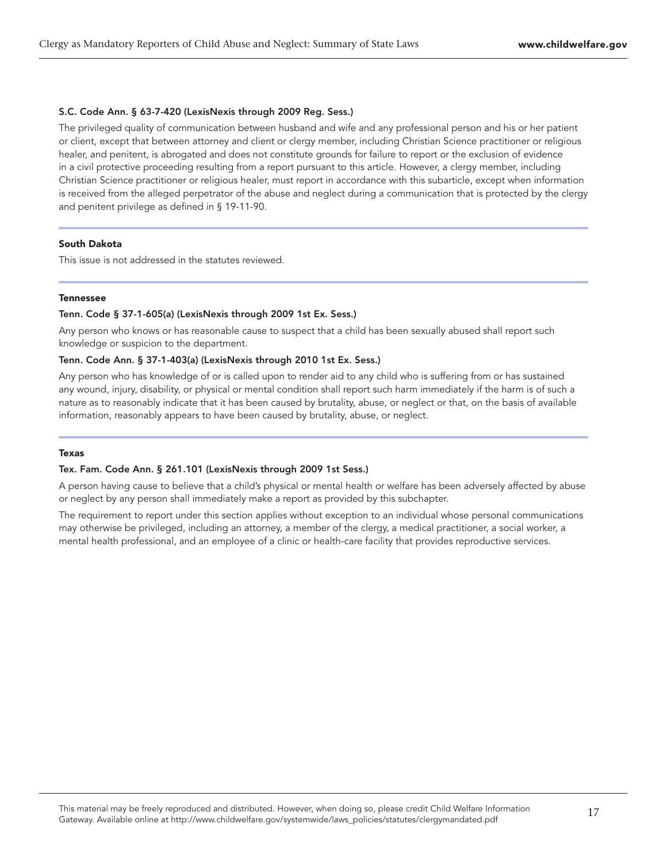## S.C. Code Ann. § 63-7-420 (LexisNexis through 2009 Reg. Sess.)

The privileged quality of communication between husband and wife and any professional person and his or her patient or client, except that between attorney and client or clergy member, including Christian Science practitioner or religious healer, and penitent, is abrogated and does not constitute grounds for failure to report or the exclusion of evidence in a civil protective proceeding resulting from a report pursuant to this article. However, a clergy member, including Christian Science practitioner or religious healer, must report in accordance with this subarticle, except when information is received from the alleged perpetrator of the abuse and neglect during a communication that is protected by the clergy and penitent privilege as defined in § 19-11-90.

# South Dakota

This issue is not addressed in the statutes reviewed.

#### Tennessee

## Tenn. Code § 37-1-605(a) (LexisNexis through 2009 1st Ex. Sess.)

Any person who knows or has reasonable cause to suspect that a child has been sexually abused shall report such knowledge or suspicion to the department.

# Tenn. Code Ann. § 37-1-403(a) (LexisNexis through 2010 1st Ex. Sess.)

Any person who has knowledge of or is called upon to render aid to any child who is suffering from or has sustained any wound, injury, disability, or physical or mental condition shall report such harm immediately if the harm is of such a nature as to reasonably indicate that it has been caused by brutality, abuse, or neglect or that, on the basis of available information, reasonably appears to have been caused by brutality, abuse, or neglect.

#### Texas

#### Tex. Fam. Code Ann. § 261.101 (LexisNexis through 2009 1st Sess.)

A person having cause to believe that a child's physical or mental health or welfare has been adversely affected by abuse or neglect by any person shall immediately make a report as provided by this subchapter.

The requirement to report under this section applies without exception to an individual whose personal communications may otherwise be privileged, including an attorney, a member of the clergy, a medical practitioner, a social worker, a mental health professional, and an employee of a clinic or health-care facility that provides reproductive services.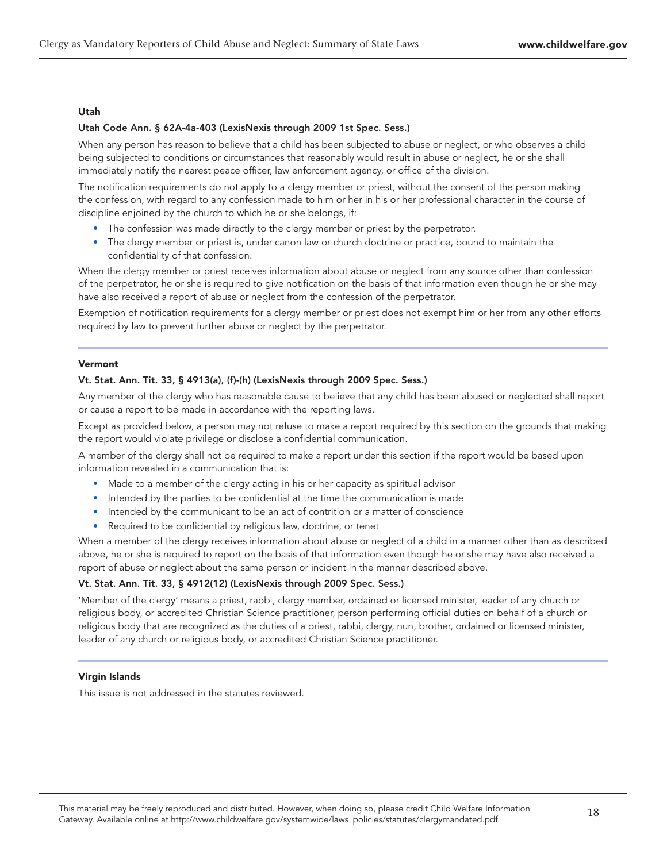# Utah

# Utah Code Ann. § 62A-4a-403 (LexisNexis through 2009 1st Spec. Sess.)

When any person has reason to believe that a child has been subjected to abuse or neglect, or who observes a child being subjected to conditions or circumstances that reasonably would result in abuse or neglect, he or she shall immediately notify the nearest peace officer, law enforcement agency, or office of the division.

The notification requirements do not apply to a clergy member or priest, without the consent of the person making the confession, with regard to any confession made to him or her in his or her professional character in the course of discipline enjoined by the church to which he or she belongs, if:

- The confession was made directly to the clergy member or priest by the perpetrator.
- The clergy member or priest is, under canon law or church doctrine or practice, bound to maintain the confidentiality of that confession.

When the clergy member or priest receives information about abuse or neglect from any source other than confession of the perpetrator, he or she is required to give notification on the basis of that information even though he or she may have also received a report of abuse or neglect from the confession of the perpetrator.

Exemption of notification requirements for a clergy member or priest does not exempt him or her from any other efforts required by law to prevent further abuse or neglect by the perpetrator.

# Vermont

# Vt. Stat. Ann. Tit. 33, § 4913(a), (f)-(h) (LexisNexis through 2009 Spec. Sess.)

Any member of the clergy who has reasonable cause to believe that any child has been abused or neglected shall report or cause a report to be made in accordance with the reporting laws.

Except as provided below, a person may not refuse to make a report required by this section on the grounds that making the report would violate privilege or disclose a confidential communication.

A member of the clergy shall not be required to make a report under this section if the report would be based upon information revealed in a communication that is:

- Made to a member of the clergy acting in his or her capacity as spiritual advisor
- Intended by the parties to be confidential at the time the communication is made
- Intended by the communicant to be an act of contrition or a matter of conscience
- Required to be confidential by religious law, doctrine, or tenet

When a member of the clergy receives information about abuse or neglect of a child in a manner other than as described above, he or she is required to report on the basis of that information even though he or she may have also received a report of abuse or neglect about the same person or incident in the manner described above.

# Vt. Stat. Ann. Tit. 33, § 4912(12) (LexisNexis through 2009 Spec. Sess.)

'Member of the clergy' means a priest, rabbi, clergy member, ordained or licensed minister, leader of any church or religious body, or accredited Christian Science practitioner, person performing official duties on behalf of a church or religious body that are recognized as the duties of a priest, rabbi, clergy, nun, brother, ordained or licensed minister, leader of any church or religious body, or accredited Christian Science practitioner.

# Virgin Islands

This issue is not addressed in the statutes reviewed.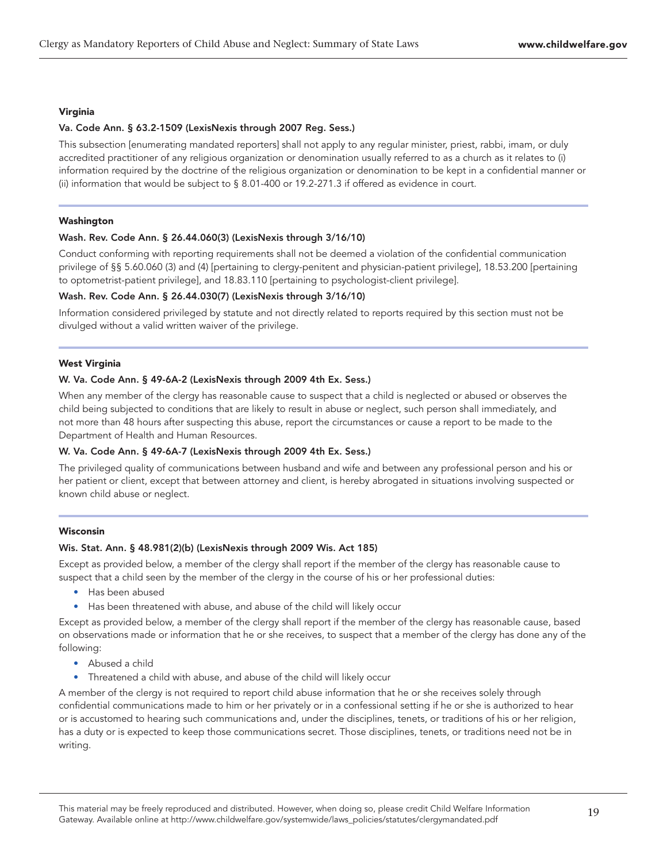# Virginia

# Va. Code Ann. § 63.2-1509 (LexisNexis through 2007 Reg. Sess.)

This subsection [enumerating mandated reporters] shall not apply to any regular minister, priest, rabbi, imam, or duly accredited practitioner of any religious organization or denomination usually referred to as a church as it relates to (i) information required by the doctrine of the religious organization or denomination to be kept in a confidential manner or (ii) information that would be subject to § 8.01-400 or 19.2-271.3 if offered as evidence in court.

# Washington

# Wash. Rev. Code Ann. § 26.44.060(3) (LexisNexis through 3/16/10)

Conduct conforming with reporting requirements shall not be deemed a violation of the confidential communication privilege of §§ 5.60.060 (3) and (4) [pertaining to clergy-penitent and physician-patient privilege], 18.53.200 [pertaining to optometrist-patient privilege], and 18.83.110 [pertaining to psychologist-client privilege].

# Wash. Rev. Code Ann. § 26.44.030(7) (LexisNexis through 3/16/10)

Information considered privileged by statute and not directly related to reports required by this section must not be divulged without a valid written waiver of the privilege.

# West Virginia

# W. Va. Code Ann. § 49-6A-2 (LexisNexis through 2009 4th Ex. Sess.)

When any member of the clergy has reasonable cause to suspect that a child is neglected or abused or observes the child being subjected to conditions that are likely to result in abuse or neglect, such person shall immediately, and not more than 48 hours after suspecting this abuse, report the circumstances or cause a report to be made to the Department of Health and Human Resources.

# W. Va. Code Ann. § 49-6A-7 (LexisNexis through 2009 4th Ex. Sess.)

The privileged quality of communications between husband and wife and between any professional person and his or her patient or client, except that between attorney and client, is hereby abrogated in situations involving suspected or known child abuse or neglect.

# Wisconsin

# Wis. Stat. Ann. § 48.981(2)(b) (LexisNexis through 2009 Wis. Act 185)

Except as provided below, a member of the clergy shall report if the member of the clergy has reasonable cause to suspect that a child seen by the member of the clergy in the course of his or her professional duties:

- Has been abused
- Has been threatened with abuse, and abuse of the child will likely occur

Except as provided below, a member of the clergy shall report if the member of the clergy has reasonable cause, based on observations made or information that he or she receives, to suspect that a member of the clergy has done any of the following:

- Abused a child
- Threatened a child with abuse, and abuse of the child will likely occur

A member of the clergy is not required to report child abuse information that he or she receives solely through confidential communications made to him or her privately or in a confessional setting if he or she is authorized to hear or is accustomed to hearing such communications and, under the disciplines, tenets, or traditions of his or her religion, has a duty or is expected to keep those communications secret. Those disciplines, tenets, or traditions need not be in writing.